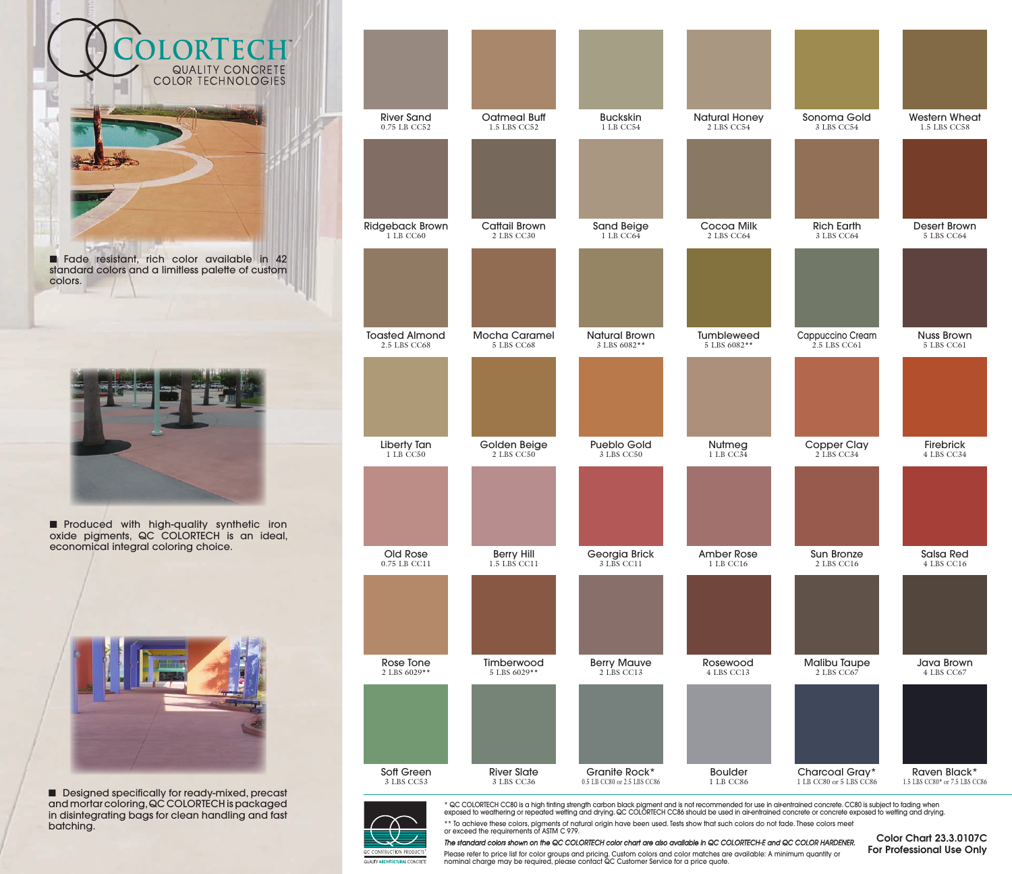

■ Produced with high-quality synthetic iron oxide pigments, QC COLORTECH is an ideal, economical integral coloring choice.



■ Designed specifically for ready-mixed, precast and mortar coloring, QC COLORTECH is packaged in disintegrating bags for clean handling and fast batching.





\* QC COLORTECH CC80 is a high tinting strength carbon black pigment and is not recommended for use in air-entrained concrete. CC80 is subject to fading when<br>exposed to weathering or repeated wetting and drying. QC COLORTEC

\*\* To achieve these colors, pigments of natural origin have been used. Tests show that such colors do not fade. These colors meet or exceed the requirements of ASTM C 979. *The standard colors shown on the QC COLORTECH color chart are also available in QC COLORTECH-E and QC COLOR HARDENER.* 

Color Chart 23.3.0107C For Professional Use Only

Please refer to price list for color groups and pricing. Custom colors and color matches are available: A minimum quantity or<br>nominal charge may be required, please contact QC Customer Service for a price quote.